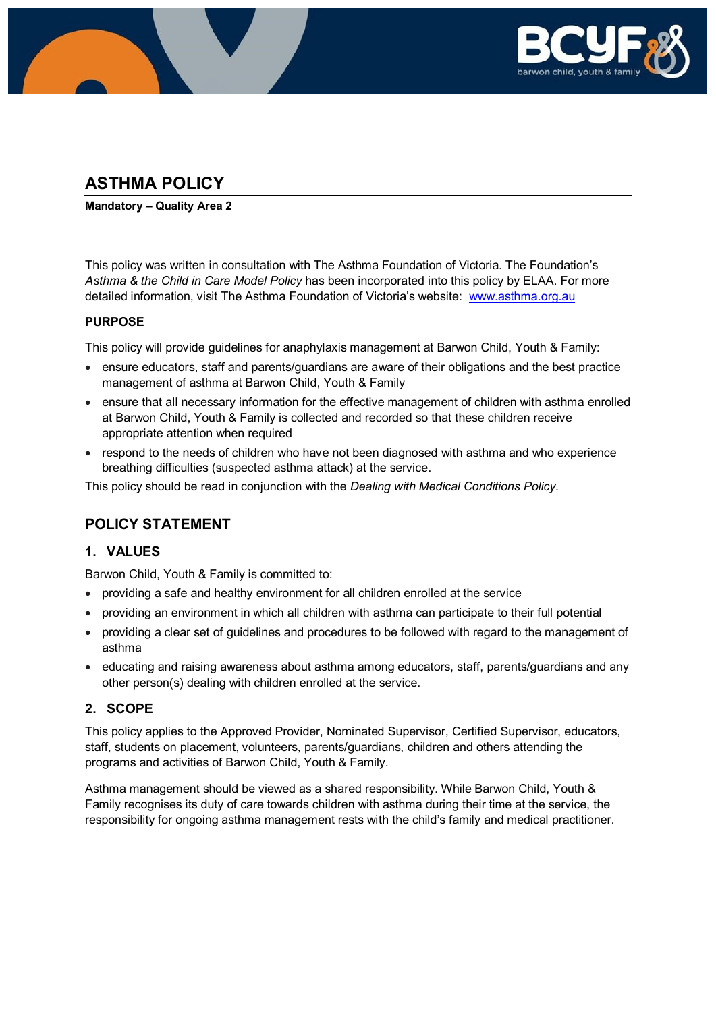

# **ASTHMA POLICY**

**Mandatory – Quality Area 2**

This policy was written in consultation with The Asthma Foundation of Victoria. The Foundation's *Asthma & the Child in Care Model Policy* has been incorporated into this policy by ELAA. For more detailed information, visit The Asthma Foundation of Victoria's website: [www.asthma.org.au](http://www.asthma.org.au/)

#### **PURPOSE**

This policy will provide guidelines for anaphylaxis management at Barwon Child, Youth & Family:

- ensure educators, staff and parents/guardians are aware of their obligations and the best practice management of asthma at Barwon Child, Youth & Family
- ensure that all necessary information for the effective management of children with asthma enrolled at Barwon Child, Youth & Family is collected and recorded so that these children receive appropriate attention when required
- respond to the needs of children who have not been diagnosed with asthma and who experience breathing difficulties (suspected asthma attack) at the service.

This policy should be read in conjunction with the *Dealing with Medical Conditions Policy.*

# **POLICY STATEMENT**

### **1. VALUES**

Barwon Child, Youth & Family is committed to:

- providing a safe and healthy environment for all children enrolled at the service
- providing an environment in which all children with asthma can participate to their full potential
- providing a clear set of guidelines and procedures to be followed with regard to the management of asthma
- educating and raising awareness about asthma among educators, staff, parents/guardians and any other person(s) dealing with children enrolled at the service.

### **2. SCOPE**

This policy applies to the Approved Provider, Nominated Supervisor, Certified Supervisor, educators, staff, students on placement, volunteers, parents/guardians, children and others attending the programs and activities of Barwon Child, Youth & Family.

Asthma management should be viewed as a shared responsibility. While Barwon Child, Youth & Family recognises its duty of care towards children with asthma during their time at the service, the responsibility for ongoing asthma management rests with the child's family and medical practitioner.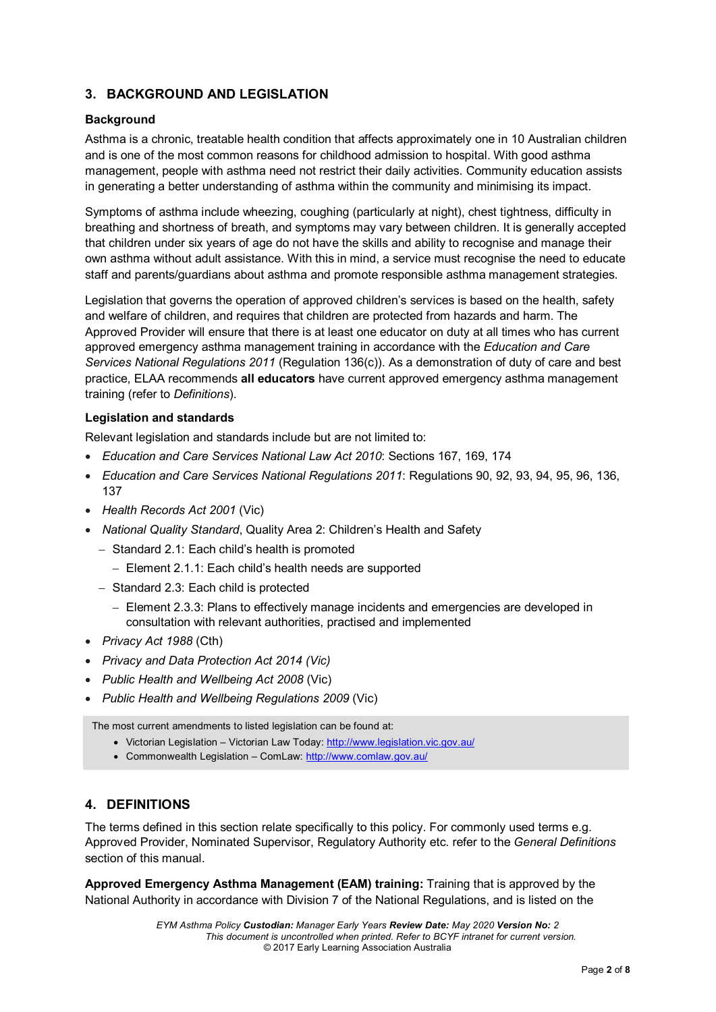### **3. BACKGROUND AND LEGISLATION**

#### **Background**

Asthma is a chronic, treatable health condition that affects approximately one in 10 Australian children and is one of the most common reasons for childhood admission to hospital. With good asthma management, people with asthma need not restrict their daily activities. Community education assists in generating a better understanding of asthma within the community and minimising its impact.

Symptoms of asthma include wheezing, coughing (particularly at night), chest tightness, difficulty in breathing and shortness of breath, and symptoms may vary between children. It is generally accepted that children under six years of age do not have the skills and ability to recognise and manage their own asthma without adult assistance. With this in mind, a service must recognise the need to educate staff and parents/guardians about asthma and promote responsible asthma management strategies.

Legislation that governs the operation of approved children's services is based on the health, safety and welfare of children, and requires that children are protected from hazards and harm. The Approved Provider will ensure that there is at least one educator on duty at all times who has current approved emergency asthma management training in accordance with the *Education and Care Services National Regulations 2011* (Regulation 136(c)). As a demonstration of duty of care and best practice, ELAA recommends **all educators** have current approved emergency asthma management training (refer to *Definitions*).

#### **Legislation and standards**

Relevant legislation and standards include but are not limited to:

- *Education and Care Services National Law Act 2010*: Sections 167, 169, 174
- *Education and Care Services National Regulations 2011*: Regulations 90, 92, 93, 94, 95, 96, 136, 137
- *Health Records Act 2001* (Vic)
- *National Quality Standard*, Quality Area 2: Children's Health and Safety
	- − Standard 2.1: Each child's health is promoted
		- − Element 2.1.1: Each child's health needs are supported
	- − Standard 2.3: Each child is protected
		- − Element 2.3.3: Plans to effectively manage incidents and emergencies are developed in consultation with relevant authorities, practised and implemented
- *Privacy Act 1988* (Cth)
- *Privacy and Data Protection Act 2014 (Vic)*
- *Public Health and Wellbeing Act 2008* (Vic)
- *Public Health and Wellbeing Regulations 2009* (Vic)

The most current amendments to listed legislation can be found at:

- Victorian Legislation Victorian Law Today:<http://www.legislation.vic.gov.au/>
- Commonwealth Legislation ComLaw:<http://www.comlaw.gov.au/>

### **4. DEFINITIONS**

The terms defined in this section relate specifically to this policy. For commonly used terms e.g. Approved Provider, Nominated Supervisor, Regulatory Authority etc. refer to the *General Definitions* section of this manual.

**Approved Emergency Asthma Management (EAM) training:** Training that is approved by the National Authority in accordance with Division 7 of the National Regulations, and is listed on the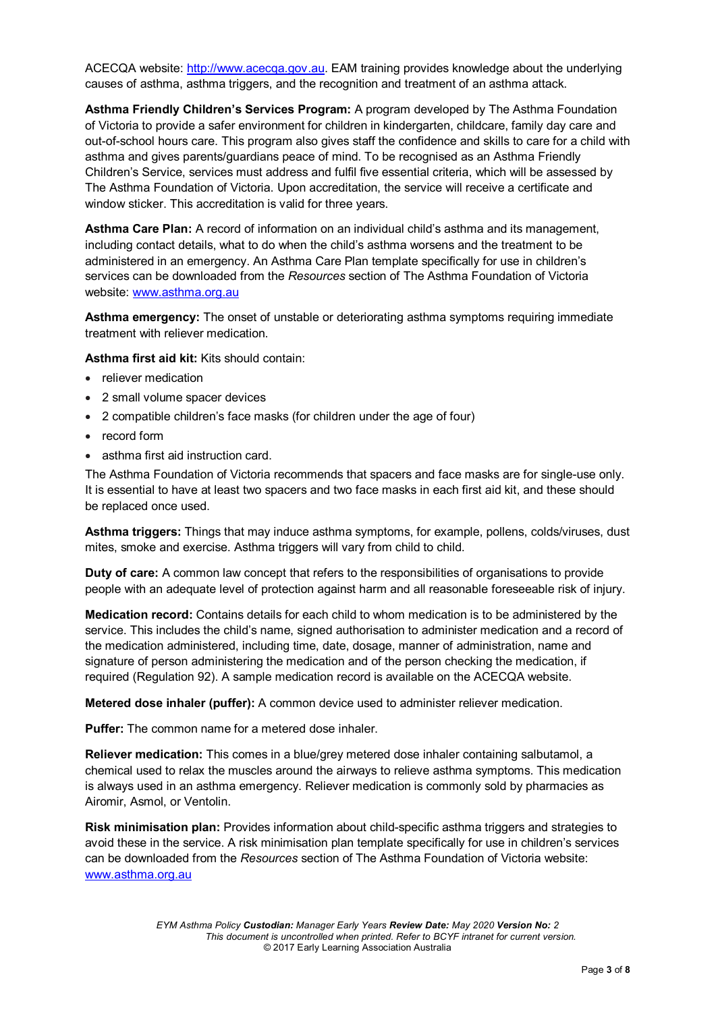ACECQA website: [http://www.acecqa.gov.au.](http://www.acecqa.gov.au/) EAM training provides knowledge about the underlying causes of asthma, asthma triggers, and the recognition and treatment of an asthma attack.

**Asthma Friendly Children's Services Program:** A program developed by The Asthma Foundation of Victoria to provide a safer environment for children in kindergarten, childcare, family day care and out-of-school hours care. This program also gives staff the confidence and skills to care for a child with asthma and gives parents/guardians peace of mind. To be recognised as an Asthma Friendly Children's Service, services must address and fulfil five essential criteria, which will be assessed by The Asthma Foundation of Victoria. Upon accreditation, the service will receive a certificate and window sticker. This accreditation is valid for three years.

**Asthma Care Plan:** A record of information on an individual child's asthma and its management, including contact details, what to do when the child's asthma worsens and the treatment to be administered in an emergency. An Asthma Care Plan template specifically for use in children's services can be downloaded from the *Resources* section of The Asthma Foundation of Victoria website: [www.asthma.org.au](http://www.asthma.org.au/)

**Asthma emergency:** The onset of unstable or deteriorating asthma symptoms requiring immediate treatment with reliever medication.

**Asthma first aid kit:** Kits should contain:

- reliever medication
- 2 small volume spacer devices
- 2 compatible children's face masks (for children under the age of four)
- record form
- asthma first aid instruction card.

The Asthma Foundation of Victoria recommends that spacers and face masks are for single-use only. It is essential to have at least two spacers and two face masks in each first aid kit, and these should be replaced once used.

**Asthma triggers:** Things that may induce asthma symptoms, for example, pollens, colds/viruses, dust mites, smoke and exercise. Asthma triggers will vary from child to child.

**Duty of care:** A common law concept that refers to the responsibilities of organisations to provide people with an adequate level of protection against harm and all reasonable foreseeable risk of injury.

**Medication record:** Contains details for each child to whom medication is to be administered by the service. This includes the child's name, signed authorisation to administer medication and a record of the medication administered, including time, date, dosage, manner of administration, name and signature of person administering the medication and of the person checking the medication, if required (Regulation 92). A sample medication record is available on the ACECQA website.

**Metered dose inhaler (puffer):** A common device used to administer reliever medication.

**Puffer:** The common name for a metered dose inhaler.

**Reliever medication:** This comes in a blue/grey metered dose inhaler containing salbutamol, a chemical used to relax the muscles around the airways to relieve asthma symptoms. This medication is always used in an asthma emergency. Reliever medication is commonly sold by pharmacies as Airomir, Asmol, or Ventolin.

**Risk minimisation plan:** Provides information about child-specific asthma triggers and strategies to avoid these in the service. A risk minimisation plan template specifically for use in children's services can be downloaded from the *Resources* section of The Asthma Foundation of Victoria website: [www.asthma.org.au](http://www.asthma.org.au/)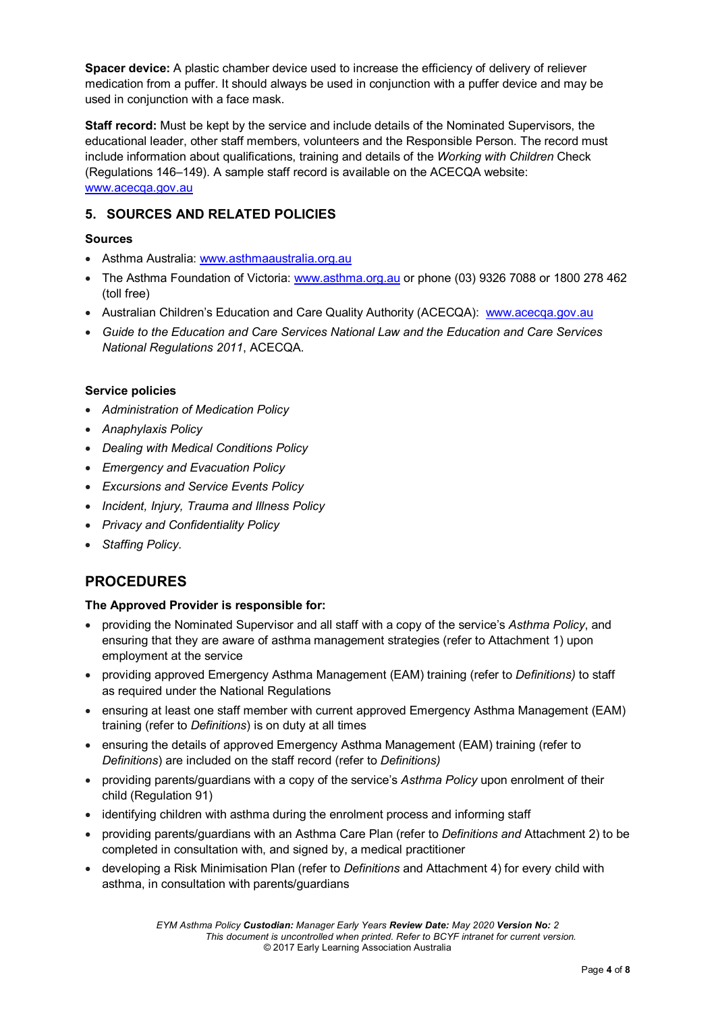**Spacer device:** A plastic chamber device used to increase the efficiency of delivery of reliever medication from a puffer. It should always be used in conjunction with a puffer device and may be used in conjunction with a face mask.

**Staff record:** Must be kept by the service and include details of the Nominated Supervisors, the educational leader, other staff members, volunteers and the Responsible Person. The record must include information about qualifications, training and details of the *Working with Children* Check (Regulations 146–149). A sample staff record is available on the ACECQA website: [www.acecqa.gov.au](http://www.acecqa.gov.au/)

### **5. SOURCES AND RELATED POLICIES**

#### **Sources**

- Asthma Australia: [www.asthmaaustralia.org.au](http://www.asthmaaustralia.org.au/)
- The Asthma Foundation of Victoria: [www.asthma.org.au](http://www.asthma.org.au/) or phone (03) 9326 7088 or 1800 278 462 (toll free)
- Australian Children's Education and Care Quality Authority (ACECQA): [www.acecqa.gov.au](http://www.acecqa.gov.au/)
- *Guide to the Education and Care Services National Law and the Education and Care Services National Regulations 2011*, ACECQA.

#### **Service policies**

- *Administration of Medication Policy*
- *Anaphylaxis Policy*
- *Dealing with Medical Conditions Policy*
- *Emergency and Evacuation Policy*
- *Excursions and Service Events Policy*
- *Incident, Injury, Trauma and Illness Policy*
- *Privacy and Confidentiality Policy*
- *Staffing Policy.*

**PROCEDURES**

# **The Approved Provider is responsible for:**

- providing the Nominated Supervisor and all staff with a copy of the service's *Asthma Policy*, and ensuring that they are aware of asthma management strategies (refer to Attachment 1) upon employment at the service
- providing approved Emergency Asthma Management (EAM) training (refer to *Definitions)* to staff as required under the National Regulations
- ensuring at least one staff member with current approved Emergency Asthma Management (EAM) training (refer to *Definitions*) is on duty at all times
- ensuring the details of approved Emergency Asthma Management (EAM) training (refer to *Definitions*) are included on the staff record (refer to *Definitions)*
- providing parents/guardians with a copy of the service's *Asthma Policy* upon enrolment of their child (Regulation 91)
- identifying children with asthma during the enrolment process and informing staff
- providing parents/guardians with an Asthma Care Plan (refer to *Definitions and* Attachment 2) to be completed in consultation with, and signed by, a medical practitioner
- developing a Risk Minimisation Plan (refer to *Definitions* and Attachment 4) for every child with asthma, in consultation with parents/guardians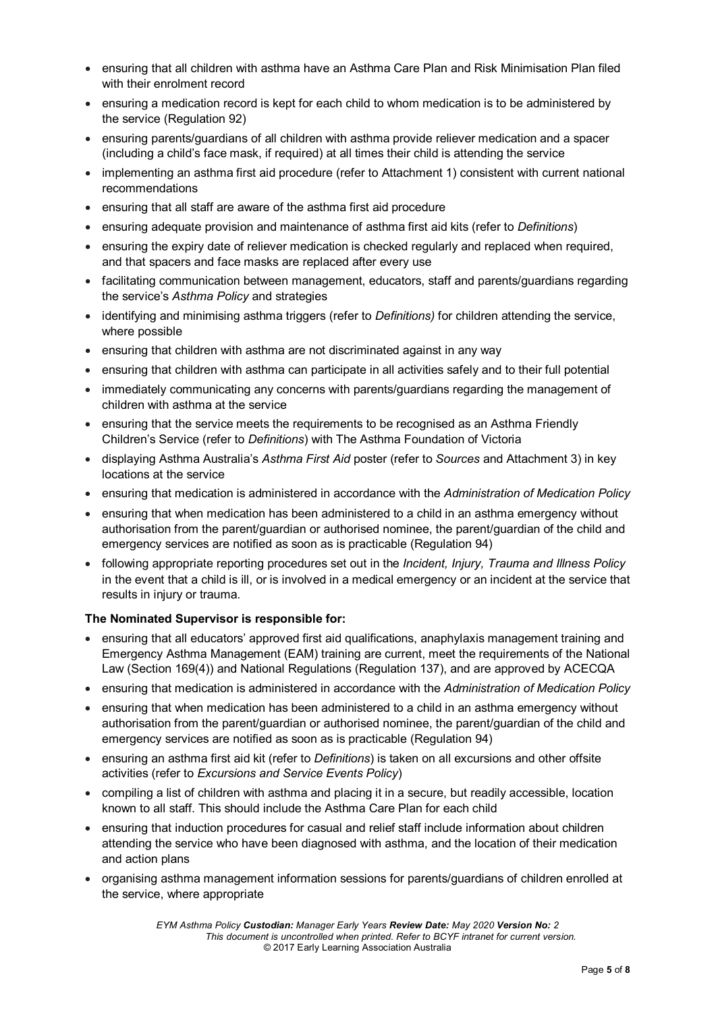- ensuring that all children with asthma have an Asthma Care Plan and Risk Minimisation Plan filed with their enrolment record
- ensuring a medication record is kept for each child to whom medication is to be administered by the service (Regulation 92)
- ensuring parents/guardians of all children with asthma provide reliever medication and a spacer (including a child's face mask, if required) at all times their child is attending the service
- implementing an asthma first aid procedure (refer to Attachment 1) consistent with current national recommendations
- ensuring that all staff are aware of the asthma first aid procedure
- ensuring adequate provision and maintenance of asthma first aid kits (refer to *Definitions*)
- ensuring the expiry date of reliever medication is checked regularly and replaced when required, and that spacers and face masks are replaced after every use
- facilitating communication between management, educators, staff and parents/guardians regarding the service's *Asthma Policy* and strategies
- identifying and minimising asthma triggers (refer to *Definitions)* for children attending the service, where possible
- ensuring that children with asthma are not discriminated against in any way
- ensuring that children with asthma can participate in all activities safely and to their full potential
- immediately communicating any concerns with parents/guardians regarding the management of children with asthma at the service
- ensuring that the service meets the requirements to be recognised as an Asthma Friendly Children's Service (refer to *Definitions*) with The Asthma Foundation of Victoria
- displaying Asthma Australia's *Asthma First Aid* poster (refer to *Sources* and Attachment 3) in key locations at the service
- ensuring that medication is administered in accordance with the *Administration of Medication Policy*
- ensuring that when medication has been administered to a child in an asthma emergency without authorisation from the parent/guardian or authorised nominee, the parent/guardian of the child and emergency services are notified as soon as is practicable (Regulation 94)
- following appropriate reporting procedures set out in the *Incident, Injury, Trauma and Illness Policy* in the event that a child is ill, or is involved in a medical emergency or an incident at the service that results in injury or trauma.

#### **The Nominated Supervisor is responsible for:**

- ensuring that all educators' approved first aid qualifications, anaphylaxis management training and Emergency Asthma Management (EAM) training are current, meet the requirements of the National Law (Section 169(4)) and National Regulations (Regulation 137), and are approved by ACECQA
- ensuring that medication is administered in accordance with the *Administration of Medication Policy*
- ensuring that when medication has been administered to a child in an asthma emergency without authorisation from the parent/guardian or authorised nominee, the parent/guardian of the child and emergency services are notified as soon as is practicable (Regulation 94)
- ensuring an asthma first aid kit (refer to *Definitions*) is taken on all excursions and other offsite activities (refer to *Excursions and Service Events Policy*)
- compiling a list of children with asthma and placing it in a secure, but readily accessible, location known to all staff. This should include the Asthma Care Plan for each child
- ensuring that induction procedures for casual and relief staff include information about children attending the service who have been diagnosed with asthma, and the location of their medication and action plans
- organising asthma management information sessions for parents/guardians of children enrolled at the service, where appropriate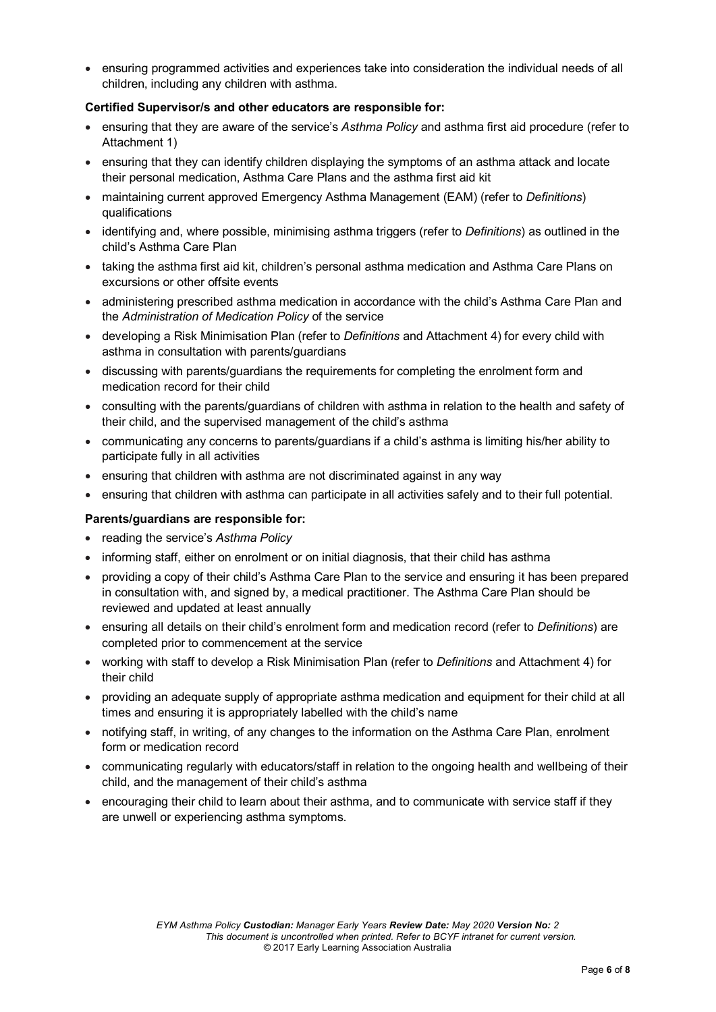• ensuring programmed activities and experiences take into consideration the individual needs of all children, including any children with asthma.

#### **Certified Supervisor/s and other educators are responsible for:**

- ensuring that they are aware of the service's *Asthma Policy* and asthma first aid procedure (refer to Attachment 1)
- ensuring that they can identify children displaying the symptoms of an asthma attack and locate their personal medication, Asthma Care Plans and the asthma first aid kit
- maintaining current approved Emergency Asthma Management (EAM) (refer to *Definitions*) qualifications
- identifying and, where possible, minimising asthma triggers (refer to *Definitions*) as outlined in the child's Asthma Care Plan
- taking the asthma first aid kit, children's personal asthma medication and Asthma Care Plans on excursions or other offsite events
- administering prescribed asthma medication in accordance with the child's Asthma Care Plan and the *Administration of Medication Policy* of the service
- developing a Risk Minimisation Plan (refer to *Definitions* and Attachment 4) for every child with asthma in consultation with parents/guardians
- discussing with parents/guardians the requirements for completing the enrolment form and medication record for their child
- consulting with the parents/guardians of children with asthma in relation to the health and safety of their child, and the supervised management of the child's asthma
- communicating any concerns to parents/guardians if a child's asthma is limiting his/her ability to participate fully in all activities
- ensuring that children with asthma are not discriminated against in any way
- ensuring that children with asthma can participate in all activities safely and to their full potential.

#### **Parents/guardians are responsible for:**

- reading the service's *Asthma Policy*
- informing staff, either on enrolment or on initial diagnosis, that their child has asthma
- providing a copy of their child's Asthma Care Plan to the service and ensuring it has been prepared in consultation with, and signed by, a medical practitioner. The Asthma Care Plan should be reviewed and updated at least annually
- ensuring all details on their child's enrolment form and medication record (refer to *Definitions*) are completed prior to commencement at the service
- working with staff to develop a Risk Minimisation Plan (refer to *Definitions* and Attachment 4) for their child
- providing an adequate supply of appropriate asthma medication and equipment for their child at all times and ensuring it is appropriately labelled with the child's name
- notifying staff, in writing, of any changes to the information on the Asthma Care Plan, enrolment form or medication record
- communicating regularly with educators/staff in relation to the ongoing health and wellbeing of their child, and the management of their child's asthma
- encouraging their child to learn about their asthma, and to communicate with service staff if they are unwell or experiencing asthma symptoms.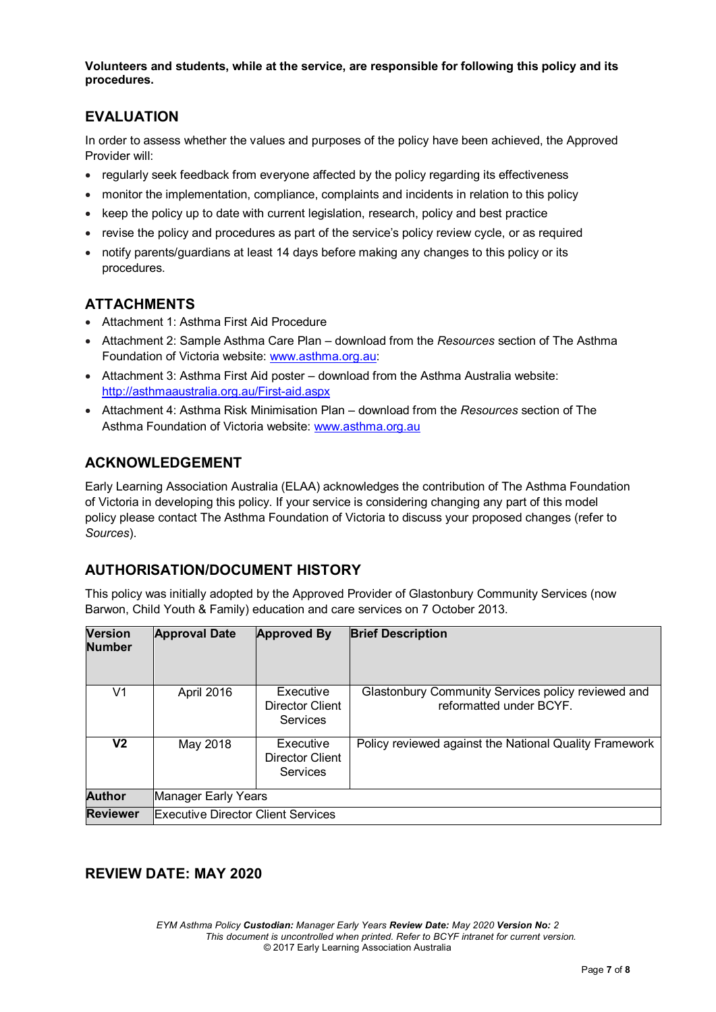**Volunteers and students, while at the service, are responsible for following this policy and its procedures.**

## **EVALUATION**

In order to assess whether the values and purposes of the policy have been achieved, the Approved Provider will:

- regularly seek feedback from everyone affected by the policy regarding its effectiveness
- monitor the implementation, compliance, complaints and incidents in relation to this policy
- keep the policy up to date with current legislation, research, policy and best practice
- revise the policy and procedures as part of the service's policy review cycle, or as required
- notify parents/guardians at least 14 days before making any changes to this policy or its procedures.

## **ATTACHMENTS**

- Attachment 1: Asthma First Aid Procedure
- Attachment 2: Sample Asthma Care Plan download from the *Resources* section of The Asthma Foundation of Victoria website: [www.asthma.org.au:](http://www.asthma.org.au/)
- Attachment 3: Asthma First Aid poster download from the Asthma Australia website: <http://asthmaaustralia.org.au/First-aid.aspx>
- Attachment 4: Asthma Risk Minimisation Plan download from the *Resources* section of The Asthma Foundation of Victoria website: [www.asthma.org.au](http://www.asthma.org.au/)

# **ACKNOWLEDGEMENT**

Early Learning Association Australia (ELAA) acknowledges the contribution of The Asthma Foundation of Victoria in developing this policy. If your service is considering changing any part of this model policy please contact The Asthma Foundation of Victoria to discuss your proposed changes (refer to *Sources*).

### **AUTHORISATION/DOCUMENT HISTORY**

This policy was initially adopted by the Approved Provider of Glastonbury Community Services (now Barwon, Child Youth & Family) education and care services on 7 October 2013.

| <b>Version</b><br><b>Number</b> | <b>Approval Date</b>                      | <b>Approved By</b>                              | <b>Brief Description</b>                                                      |
|---------------------------------|-------------------------------------------|-------------------------------------------------|-------------------------------------------------------------------------------|
| V1                              | April 2016                                | Executive<br>Director Client<br>Services        | Glastonbury Community Services policy reviewed and<br>reformatted under BCYF. |
| V2                              | May 2018                                  | Executive<br><b>Director Client</b><br>Services | Policy reviewed against the National Quality Framework                        |
| <b>Author</b>                   | Manager Early Years                       |                                                 |                                                                               |
| <b>Reviewer</b>                 | <b>Executive Director Client Services</b> |                                                 |                                                                               |

### **REVIEW DATE: MAY 2020**